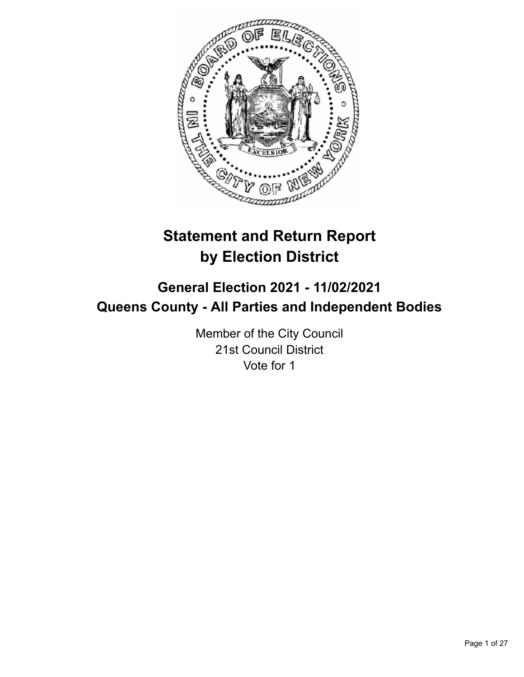

# **Statement and Return Report by Election District**

# **General Election 2021 - 11/02/2021 Queens County - All Parties and Independent Bodies**

Member of the City Council 21st Council District Vote for 1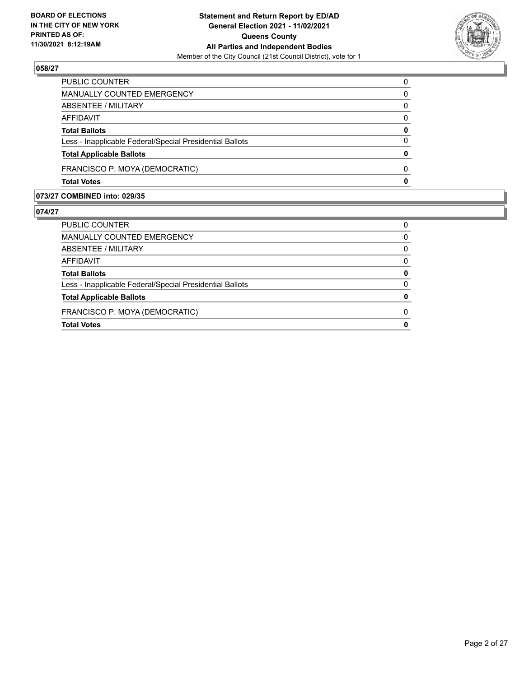

| <b>Total Votes</b>                                       | 0        |
|----------------------------------------------------------|----------|
| FRANCISCO P. MOYA (DEMOCRATIC)                           | 0        |
| <b>Total Applicable Ballots</b>                          | 0        |
| Less - Inapplicable Federal/Special Presidential Ballots | $\Omega$ |
| <b>Total Ballots</b>                                     | 0        |
| AFFIDAVIT                                                | 0        |
| <b>ABSENTEE / MILITARY</b>                               | $\Omega$ |
| <b>MANUALLY COUNTED EMERGENCY</b>                        | 0        |
| PUBLIC COUNTER                                           | $\Omega$ |

# **073/27 COMBINED into: 029/35**

| PUBLIC COUNTER                                           | O |
|----------------------------------------------------------|---|
| MANUALLY COUNTED EMERGENCY                               | O |
| ABSENTEE / MILITARY                                      | 0 |
| AFFIDAVIT                                                | O |
| <b>Total Ballots</b>                                     | 0 |
| Less - Inapplicable Federal/Special Presidential Ballots | O |
| <b>Total Applicable Ballots</b>                          |   |
| FRANCISCO P. MOYA (DEMOCRATIC)                           |   |
| <b>Total Votes</b>                                       |   |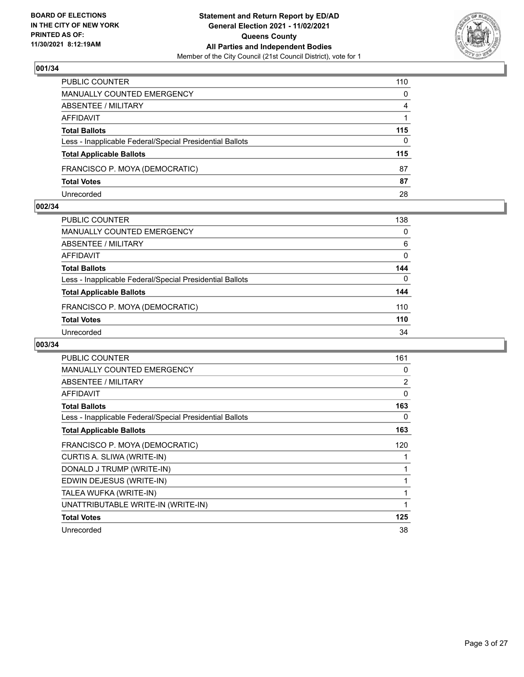

| PUBLIC COUNTER                                           | 110      |
|----------------------------------------------------------|----------|
| MANUALLY COUNTED EMERGENCY                               | 0        |
| <b>ABSENTEE / MILITARY</b>                               | 4        |
| AFFIDAVIT                                                |          |
| <b>Total Ballots</b>                                     | 115      |
| Less - Inapplicable Federal/Special Presidential Ballots | $\Omega$ |
| <b>Total Applicable Ballots</b>                          | 115      |
| FRANCISCO P. MOYA (DEMOCRATIC)                           | 87       |
| <b>Total Votes</b>                                       | 87       |
| Unrecorded                                               | 28       |

#### **002/34**

| PUBLIC COUNTER                                           | 138 |
|----------------------------------------------------------|-----|
| MANUALLY COUNTED EMERGENCY                               | 0   |
| ABSENTEE / MILITARY                                      | 6   |
| AFFIDAVIT                                                | 0   |
| <b>Total Ballots</b>                                     | 144 |
| Less - Inapplicable Federal/Special Presidential Ballots | 0   |
| <b>Total Applicable Ballots</b>                          | 144 |
| FRANCISCO P. MOYA (DEMOCRATIC)                           | 110 |
| <b>Total Votes</b>                                       | 110 |
| Unrecorded                                               | 34  |
|                                                          |     |

| <b>PUBLIC COUNTER</b>                                    | 161 |
|----------------------------------------------------------|-----|
| <b>MANUALLY COUNTED EMERGENCY</b>                        | 0   |
| ABSENTEE / MILITARY                                      | 2   |
| <b>AFFIDAVIT</b>                                         | 0   |
| <b>Total Ballots</b>                                     | 163 |
| Less - Inapplicable Federal/Special Presidential Ballots | 0   |
| <b>Total Applicable Ballots</b>                          | 163 |
| FRANCISCO P. MOYA (DEMOCRATIC)                           | 120 |
| CURTIS A. SLIWA (WRITE-IN)                               |     |
| DONALD J TRUMP (WRITE-IN)                                | 1   |
| EDWIN DEJESUS (WRITE-IN)                                 | 1   |
| TALEA WUFKA (WRITE-IN)                                   |     |
| UNATTRIBUTABLE WRITE-IN (WRITE-IN)                       | 1   |
| <b>Total Votes</b>                                       | 125 |
| Unrecorded                                               | 38  |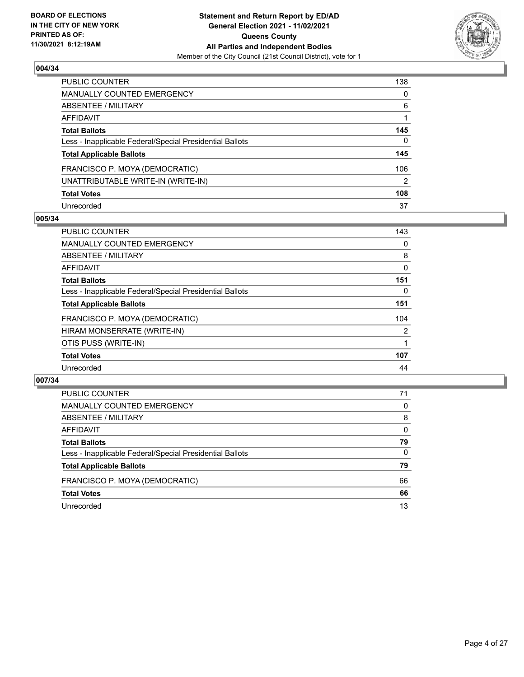

| PUBLIC COUNTER                                           | 138 |
|----------------------------------------------------------|-----|
| <b>MANUALLY COUNTED EMERGENCY</b>                        | 0   |
| <b>ABSENTEE / MILITARY</b>                               | 6   |
| AFFIDAVIT                                                |     |
| <b>Total Ballots</b>                                     | 145 |
| Less - Inapplicable Federal/Special Presidential Ballots | 0   |
| <b>Total Applicable Ballots</b>                          | 145 |
| FRANCISCO P. MOYA (DEMOCRATIC)                           | 106 |
| UNATTRIBUTABLE WRITE-IN (WRITE-IN)                       | 2   |
| <b>Total Votes</b>                                       | 108 |
| Unrecorded                                               | 37  |

#### **005/34**

| <b>PUBLIC COUNTER</b>                                    | 143 |
|----------------------------------------------------------|-----|
| MANUALLY COUNTED EMERGENCY                               | 0   |
| ABSENTEE / MILITARY                                      | 8   |
| <b>AFFIDAVIT</b>                                         | 0   |
| <b>Total Ballots</b>                                     | 151 |
| Less - Inapplicable Federal/Special Presidential Ballots | 0   |
| <b>Total Applicable Ballots</b>                          | 151 |
| FRANCISCO P. MOYA (DEMOCRATIC)                           | 104 |
| HIRAM MONSERRATE (WRITE-IN)                              | 2   |
| OTIS PUSS (WRITE-IN)                                     |     |
| <b>Total Votes</b>                                       | 107 |
| Unrecorded                                               | 44  |

| <b>PUBLIC COUNTER</b>                                    | 71       |
|----------------------------------------------------------|----------|
| MANUALLY COUNTED EMERGENCY                               | 0        |
| ABSENTEE / MILITARY                                      | 8        |
| AFFIDAVIT                                                | $\Omega$ |
| <b>Total Ballots</b>                                     | 79       |
| Less - Inapplicable Federal/Special Presidential Ballots | $\Omega$ |
| <b>Total Applicable Ballots</b>                          | 79       |
| FRANCISCO P. MOYA (DEMOCRATIC)                           | 66       |
| <b>Total Votes</b>                                       | 66       |
| Unrecorded                                               | 13       |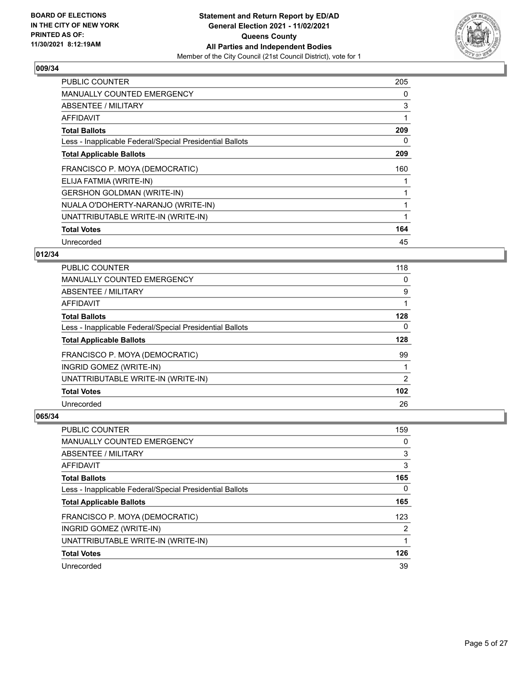

| PUBLIC COUNTER                                           | 205 |
|----------------------------------------------------------|-----|
| <b>MANUALLY COUNTED EMERGENCY</b>                        | 0   |
| <b>ABSENTEE / MILITARY</b>                               | 3   |
| AFFIDAVIT                                                |     |
| <b>Total Ballots</b>                                     | 209 |
| Less - Inapplicable Federal/Special Presidential Ballots | 0   |
| <b>Total Applicable Ballots</b>                          | 209 |
| FRANCISCO P. MOYA (DEMOCRATIC)                           | 160 |
| ELIJA FATMIA (WRITE-IN)                                  |     |
| <b>GERSHON GOLDMAN (WRITE-IN)</b>                        |     |
| NUALA O'DOHERTY-NARANJO (WRITE-IN)                       |     |
| UNATTRIBUTABLE WRITE-IN (WRITE-IN)                       |     |
| <b>Total Votes</b>                                       | 164 |
| Unrecorded                                               | 45  |

## **012/34**

| PUBLIC COUNTER                                           | 118      |
|----------------------------------------------------------|----------|
| MANUALLY COUNTED EMERGENCY                               | $\Omega$ |
| ABSENTEE / MILITARY                                      | 9        |
| AFFIDAVIT                                                |          |
| <b>Total Ballots</b>                                     | 128      |
| Less - Inapplicable Federal/Special Presidential Ballots | 0        |
| <b>Total Applicable Ballots</b>                          | 128      |
| FRANCISCO P. MOYA (DEMOCRATIC)                           | 99       |
| INGRID GOMEZ (WRITE-IN)                                  |          |
| UNATTRIBUTABLE WRITE-IN (WRITE-IN)                       | 2        |
| <b>Total Votes</b>                                       | 102      |
| Unrecorded                                               | 26       |

| PUBLIC COUNTER                                           | 159 |
|----------------------------------------------------------|-----|
| MANUALLY COUNTED EMERGENCY                               | 0   |
| ABSENTEE / MILITARY                                      | 3   |
| AFFIDAVIT                                                | 3   |
| <b>Total Ballots</b>                                     | 165 |
| Less - Inapplicable Federal/Special Presidential Ballots | 0   |
| <b>Total Applicable Ballots</b>                          | 165 |
| FRANCISCO P. MOYA (DEMOCRATIC)                           | 123 |
| INGRID GOMEZ (WRITE-IN)                                  | 2   |
|                                                          |     |
| UNATTRIBUTABLE WRITE-IN (WRITE-IN)                       | 1   |
| <b>Total Votes</b>                                       | 126 |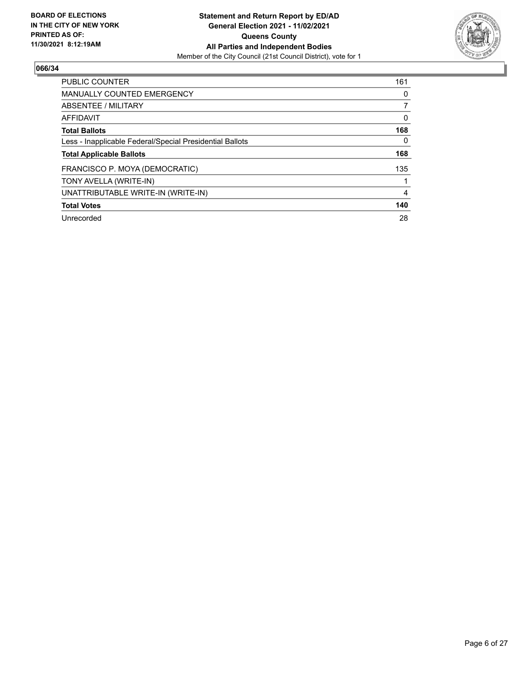

| <b>PUBLIC COUNTER</b>                                    | 161      |
|----------------------------------------------------------|----------|
| <b>MANUALLY COUNTED EMERGENCY</b>                        | 0        |
| ABSENTEE / MILITARY                                      |          |
| <b>AFFIDAVIT</b>                                         | 0        |
| <b>Total Ballots</b>                                     | 168      |
| Less - Inapplicable Federal/Special Presidential Ballots | $\Omega$ |
| <b>Total Applicable Ballots</b>                          | 168      |
| FRANCISCO P. MOYA (DEMOCRATIC)                           | 135      |
| TONY AVELLA (WRITE-IN)                                   |          |
| UNATTRIBUTABLE WRITE-IN (WRITE-IN)                       | 4        |
| <b>Total Votes</b>                                       | 140      |
| Unrecorded                                               | 28       |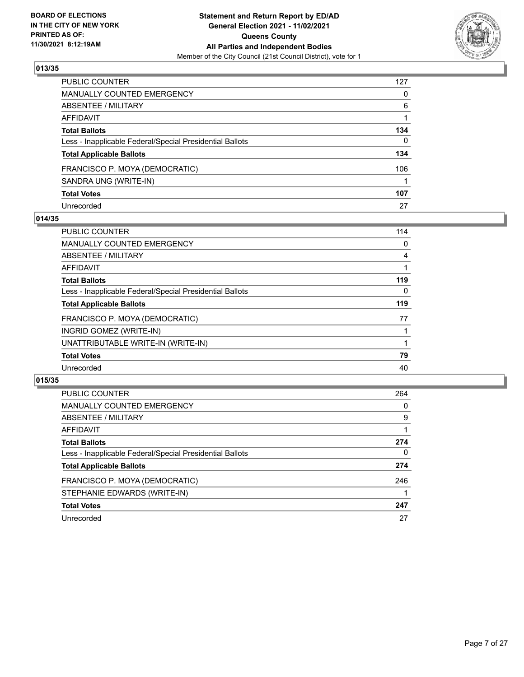

| PUBLIC COUNTER                                           | 127 |
|----------------------------------------------------------|-----|
| MANUALLY COUNTED EMERGENCY                               | 0   |
| ABSENTEE / MILITARY                                      | 6   |
| AFFIDAVIT                                                |     |
| Total Ballots                                            | 134 |
| Less - Inapplicable Federal/Special Presidential Ballots | 0   |
| <b>Total Applicable Ballots</b>                          | 134 |
| FRANCISCO P. MOYA (DEMOCRATIC)                           | 106 |
| SANDRA UNG (WRITE-IN)                                    |     |
| <b>Total Votes</b>                                       | 107 |
| Unrecorded                                               | 27  |

#### **014/35**

| <b>PUBLIC COUNTER</b>                                    | 114 |
|----------------------------------------------------------|-----|
| MANUALLY COUNTED EMERGENCY                               | 0   |
| ABSENTEE / MILITARY                                      | 4   |
| AFFIDAVIT                                                |     |
| <b>Total Ballots</b>                                     | 119 |
| Less - Inapplicable Federal/Special Presidential Ballots | 0   |
| <b>Total Applicable Ballots</b>                          | 119 |
| FRANCISCO P. MOYA (DEMOCRATIC)                           | 77  |
| INGRID GOMEZ (WRITE-IN)                                  |     |
| UNATTRIBUTABLE WRITE-IN (WRITE-IN)                       |     |
| <b>Total Votes</b>                                       | 79  |
| Unrecorded                                               | 40  |

| <b>PUBLIC COUNTER</b>                                    | 264      |
|----------------------------------------------------------|----------|
| <b>MANUALLY COUNTED EMERGENCY</b>                        | $\Omega$ |
| ABSENTEE / MILITARY                                      | 9        |
| AFFIDAVIT                                                |          |
| <b>Total Ballots</b>                                     | 274      |
| Less - Inapplicable Federal/Special Presidential Ballots | 0        |
| <b>Total Applicable Ballots</b>                          | 274      |
| FRANCISCO P. MOYA (DEMOCRATIC)                           | 246      |
| STEPHANIE EDWARDS (WRITE-IN)                             |          |
| <b>Total Votes</b>                                       | 247      |
| Unrecorded                                               | 27       |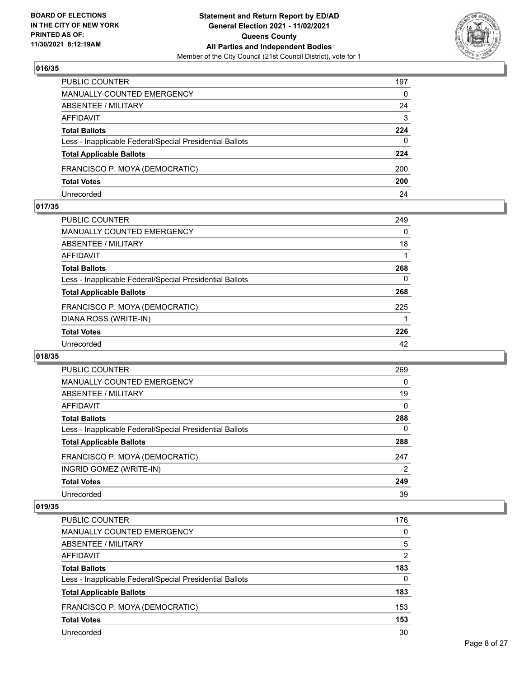

| PUBLIC COUNTER                                           | 197      |
|----------------------------------------------------------|----------|
| MANUALLY COUNTED EMERGENCY                               | $\Omega$ |
| <b>ABSENTEE / MILITARY</b>                               | 24       |
| AFFIDAVIT                                                | 3        |
| <b>Total Ballots</b>                                     | 224      |
| Less - Inapplicable Federal/Special Presidential Ballots | $\Omega$ |
| <b>Total Applicable Ballots</b>                          | 224      |
| FRANCISCO P. MOYA (DEMOCRATIC)                           | 200      |
| <b>Total Votes</b>                                       | 200      |
| Unrecorded                                               | 24       |

#### **017/35**

| <b>PUBLIC COUNTER</b>                                    | 249      |
|----------------------------------------------------------|----------|
| <b>MANUALLY COUNTED EMERGENCY</b>                        | $\Omega$ |
| <b>ABSENTEE / MILITARY</b>                               | 18       |
| AFFIDAVIT                                                |          |
| <b>Total Ballots</b>                                     | 268      |
| Less - Inapplicable Federal/Special Presidential Ballots | 0        |
| <b>Total Applicable Ballots</b>                          | 268      |
| FRANCISCO P. MOYA (DEMOCRATIC)                           | 225      |
| DIANA ROSS (WRITE-IN)                                    |          |
| <b>Total Votes</b>                                       | 226      |
| Unrecorded                                               | 42       |
|                                                          |          |

#### **018/35**

| <b>PUBLIC COUNTER</b>                                    | 269 |
|----------------------------------------------------------|-----|
| <b>MANUALLY COUNTED EMERGENCY</b>                        | 0   |
| ABSENTEE / MILITARY                                      | 19  |
| <b>AFFIDAVIT</b>                                         | 0   |
| <b>Total Ballots</b>                                     | 288 |
| Less - Inapplicable Federal/Special Presidential Ballots | 0   |
| <b>Total Applicable Ballots</b>                          | 288 |
| FRANCISCO P. MOYA (DEMOCRATIC)                           | 247 |
| INGRID GOMEZ (WRITE-IN)                                  | 2   |
| <b>Total Votes</b>                                       | 249 |
| Unrecorded                                               | 39  |

| <b>PUBLIC COUNTER</b>                                    | 176      |
|----------------------------------------------------------|----------|
| MANUALLY COUNTED EMERGENCY                               | $\Omega$ |
| ABSENTEE / MILITARY                                      | 5        |
| AFFIDAVIT                                                | 2        |
| <b>Total Ballots</b>                                     | 183      |
| Less - Inapplicable Federal/Special Presidential Ballots | $\Omega$ |
| <b>Total Applicable Ballots</b>                          | 183      |
| FRANCISCO P. MOYA (DEMOCRATIC)                           | 153      |
| <b>Total Votes</b>                                       | 153      |
| Unrecorded                                               | 30       |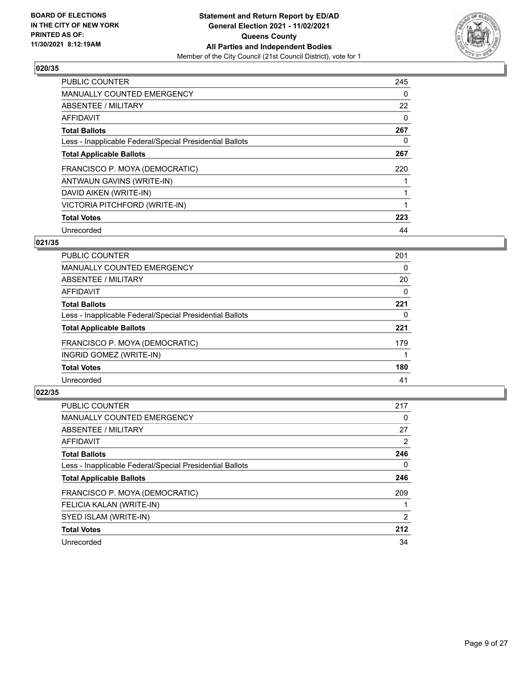

| <b>PUBLIC COUNTER</b>                                    | 245 |
|----------------------------------------------------------|-----|
| <b>MANUALLY COUNTED EMERGENCY</b>                        | 0   |
| ABSENTEE / MILITARY                                      | 22  |
| <b>AFFIDAVIT</b>                                         | 0   |
| <b>Total Ballots</b>                                     | 267 |
| Less - Inapplicable Federal/Special Presidential Ballots | 0   |
| <b>Total Applicable Ballots</b>                          | 267 |
| FRANCISCO P. MOYA (DEMOCRATIC)                           | 220 |
| ANTWAUN GAVINS (WRITE-IN)                                |     |
| DAVID AIKEN (WRITE-IN)                                   |     |
| VICTORIA PITCHFORD (WRITE-IN)                            |     |
| <b>Total Votes</b>                                       | 223 |
| Unrecorded                                               | 44  |

# **021/35**

| 201 |
|-----|
| 0   |
| 20  |
| 0   |
| 221 |
| 0   |
| 221 |
| 179 |
|     |
| 180 |
| 41  |
|     |

| <b>PUBLIC COUNTER</b>                                    | 217            |
|----------------------------------------------------------|----------------|
| <b>MANUALLY COUNTED EMERGENCY</b>                        | 0              |
| ABSENTEE / MILITARY                                      | 27             |
| AFFIDAVIT                                                | $\overline{2}$ |
| <b>Total Ballots</b>                                     | 246            |
| Less - Inapplicable Federal/Special Presidential Ballots | 0              |
| <b>Total Applicable Ballots</b>                          | 246            |
| FRANCISCO P. MOYA (DEMOCRATIC)                           | 209            |
| FELICIA KALAN (WRITE-IN)                                 |                |
| SYED ISLAM (WRITE-IN)                                    | 2              |
| <b>Total Votes</b>                                       | 212            |
| Unrecorded                                               | 34             |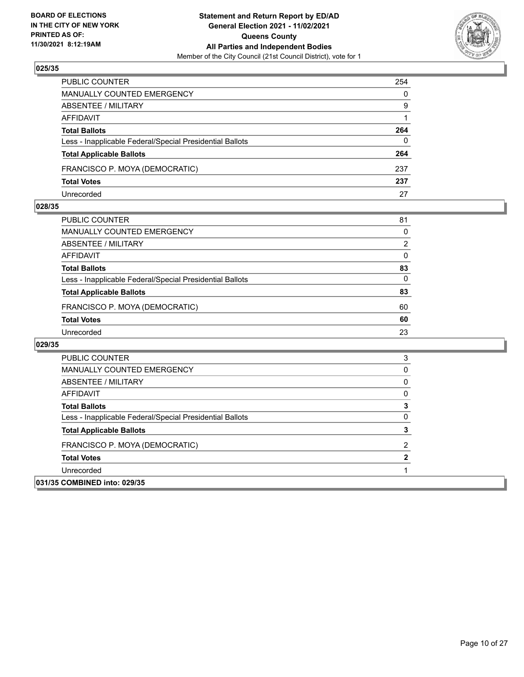

| PUBLIC COUNTER                                           | 254      |
|----------------------------------------------------------|----------|
| <b>MANUALLY COUNTED EMERGENCY</b>                        | $\Omega$ |
| ABSENTEE / MILITARY                                      | 9        |
| AFFIDAVIT                                                |          |
| <b>Total Ballots</b>                                     | 264      |
| Less - Inapplicable Federal/Special Presidential Ballots | $\Omega$ |
| <b>Total Applicable Ballots</b>                          | 264      |
| FRANCISCO P. MOYA (DEMOCRATIC)                           | 237      |
| <b>Total Votes</b>                                       | 237      |
| Unrecorded                                               | 27       |

#### **028/35**

| PUBLIC COUNTER                                           | 81            |
|----------------------------------------------------------|---------------|
| <b>MANUALLY COUNTED EMERGENCY</b>                        | 0             |
| <b>ABSENTEE / MILITARY</b>                               | $\mathcal{P}$ |
| AFFIDAVIT                                                | $\Omega$      |
| <b>Total Ballots</b>                                     | 83            |
| Less - Inapplicable Federal/Special Presidential Ballots | $\Omega$      |
| <b>Total Applicable Ballots</b>                          | 83            |
| FRANCISCO P. MOYA (DEMOCRATIC)                           | 60            |
| <b>Total Votes</b>                                       | 60            |
| Unrecorded                                               | 23            |

| <b>PUBLIC COUNTER</b>                                    | З |
|----------------------------------------------------------|---|
| MANUALLY COUNTED EMERGENCY                               |   |
| ABSENTEE / MILITARY                                      |   |
| AFFIDAVIT                                                |   |
| <b>Total Ballots</b>                                     |   |
| Less - Inapplicable Federal/Special Presidential Ballots |   |
| <b>Total Applicable Ballots</b>                          |   |
| FRANCISCO P. MOYA (DEMOCRATIC)                           | ົ |
| <b>Total Votes</b>                                       |   |
| Unrecorded                                               |   |
| 031/35 COMBINED into: 029/35                             |   |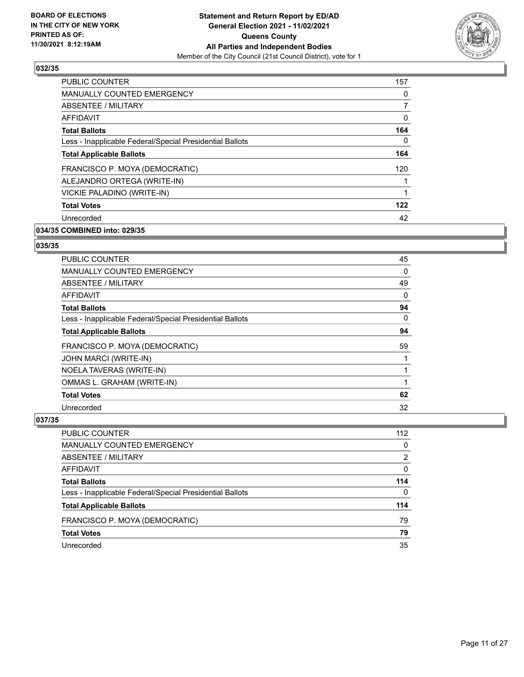

| 157      |
|----------|
| 0        |
| 7        |
| 0        |
| 164      |
| $\Omega$ |
| 164      |
| 120      |
|          |
|          |
| 122      |
| 42       |
|          |

# **034/35 COMBINED into: 029/35**

#### **035/35**

| <b>PUBLIC COUNTER</b>                                    | 45 |
|----------------------------------------------------------|----|
| <b>MANUALLY COUNTED EMERGENCY</b>                        | 0  |
| ABSENTEE / MILITARY                                      | 49 |
| <b>AFFIDAVIT</b>                                         | 0  |
| <b>Total Ballots</b>                                     | 94 |
| Less - Inapplicable Federal/Special Presidential Ballots | 0  |
| <b>Total Applicable Ballots</b>                          | 94 |
| FRANCISCO P. MOYA (DEMOCRATIC)                           | 59 |
| JOHN MARCI (WRITE-IN)                                    |    |
| NOELA TAVERAS (WRITE-IN)                                 |    |
| OMMAS L. GRAHAM (WRITE-IN)                               |    |
| <b>Total Votes</b>                                       | 62 |
| Unrecorded                                               | 32 |

| PUBLIC COUNTER                                           | 112           |
|----------------------------------------------------------|---------------|
| MANUALLY COUNTED EMERGENCY                               | $\Omega$      |
| ABSENTEE / MILITARY                                      | $\mathcal{P}$ |
| AFFIDAVIT                                                | $\Omega$      |
| <b>Total Ballots</b>                                     | 114           |
| Less - Inapplicable Federal/Special Presidential Ballots | $\Omega$      |
| <b>Total Applicable Ballots</b>                          | 114           |
| FRANCISCO P. MOYA (DEMOCRATIC)                           | 79            |
| <b>Total Votes</b>                                       | 79            |
| Unrecorded                                               | 35            |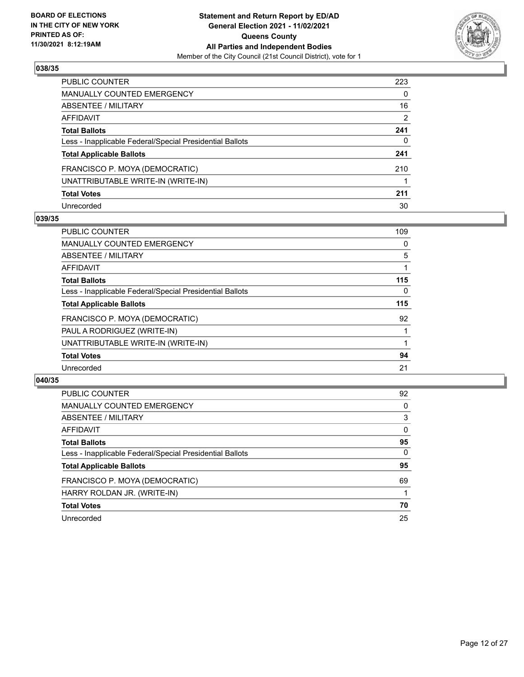

| PUBLIC COUNTER                                           | 223 |
|----------------------------------------------------------|-----|
| MANUALLY COUNTED EMERGENCY                               | 0   |
| ABSENTEE / MILITARY                                      | 16  |
| AFFIDAVIT                                                | 2   |
| <b>Total Ballots</b>                                     | 241 |
| Less - Inapplicable Federal/Special Presidential Ballots | 0   |
| <b>Total Applicable Ballots</b>                          | 241 |
| FRANCISCO P. MOYA (DEMOCRATIC)                           | 210 |
| UNATTRIBUTABLE WRITE-IN (WRITE-IN)                       |     |
| <b>Total Votes</b>                                       | 211 |
| Unrecorded                                               | 30  |

#### **039/35**

| <b>PUBLIC COUNTER</b>                                    | 109      |
|----------------------------------------------------------|----------|
| <b>MANUALLY COUNTED EMERGENCY</b>                        | 0        |
| ABSENTEE / MILITARY                                      | 5        |
| AFFIDAVIT                                                |          |
| <b>Total Ballots</b>                                     | 115      |
| Less - Inapplicable Federal/Special Presidential Ballots | $\Omega$ |
| <b>Total Applicable Ballots</b>                          | 115      |
| FRANCISCO P. MOYA (DEMOCRATIC)                           | 92       |
| PAUL A RODRIGUEZ (WRITE-IN)                              |          |
| UNATTRIBUTABLE WRITE-IN (WRITE-IN)                       |          |
| <b>Total Votes</b>                                       | 94       |
| Unrecorded                                               | 21       |

| <b>PUBLIC COUNTER</b>                                    | 92       |
|----------------------------------------------------------|----------|
| <b>MANUALLY COUNTED EMERGENCY</b>                        | 0        |
| ABSENTEE / MILITARY                                      | 3        |
| AFFIDAVIT                                                | $\Omega$ |
| <b>Total Ballots</b>                                     | 95       |
| Less - Inapplicable Federal/Special Presidential Ballots | $\Omega$ |
| <b>Total Applicable Ballots</b>                          | 95       |
| FRANCISCO P. MOYA (DEMOCRATIC)                           | 69       |
| HARRY ROLDAN JR. (WRITE-IN)                              |          |
| <b>Total Votes</b>                                       | 70       |
| Unrecorded                                               | 25       |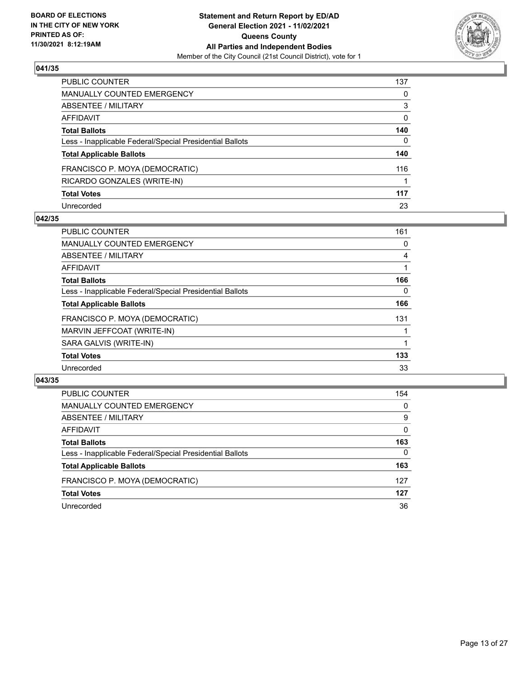

| PUBLIC COUNTER                                           | 137 |
|----------------------------------------------------------|-----|
| <b>MANUALLY COUNTED EMERGENCY</b>                        | 0   |
| <b>ABSENTEE / MILITARY</b>                               | 3   |
| <b>AFFIDAVIT</b>                                         | 0   |
| <b>Total Ballots</b>                                     | 140 |
| Less - Inapplicable Federal/Special Presidential Ballots | 0   |
| <b>Total Applicable Ballots</b>                          | 140 |
| FRANCISCO P. MOYA (DEMOCRATIC)                           | 116 |
| RICARDO GONZALES (WRITE-IN)                              |     |
| <b>Total Votes</b>                                       | 117 |
| Unrecorded                                               | 23  |

#### **042/35**

| <b>PUBLIC COUNTER</b>                                    | 161 |
|----------------------------------------------------------|-----|
| <b>MANUALLY COUNTED EMERGENCY</b>                        | 0   |
| ABSENTEE / MILITARY                                      | 4   |
| <b>AFFIDAVIT</b>                                         |     |
| <b>Total Ballots</b>                                     | 166 |
| Less - Inapplicable Federal/Special Presidential Ballots | 0   |
| <b>Total Applicable Ballots</b>                          | 166 |
| FRANCISCO P. MOYA (DEMOCRATIC)                           | 131 |
| MARVIN JEFFCOAT (WRITE-IN)                               |     |
| SARA GALVIS (WRITE-IN)                                   |     |
| <b>Total Votes</b>                                       | 133 |
| Unrecorded                                               | 33  |

| <b>PUBLIC COUNTER</b>                                    | 154      |
|----------------------------------------------------------|----------|
| MANUALLY COUNTED EMERGENCY                               | $\Omega$ |
| ABSENTEE / MILITARY                                      | 9        |
| AFFIDAVIT                                                | $\Omega$ |
| <b>Total Ballots</b>                                     | 163      |
| Less - Inapplicable Federal/Special Presidential Ballots | $\Omega$ |
| <b>Total Applicable Ballots</b>                          | 163      |
| FRANCISCO P. MOYA (DEMOCRATIC)                           | 127      |
| <b>Total Votes</b>                                       | 127      |
| Unrecorded                                               | 36       |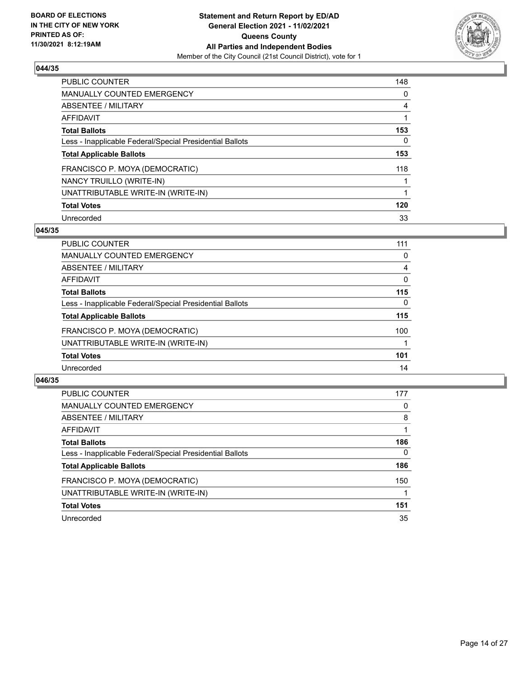

| <b>PUBLIC COUNTER</b>                                    | 148      |
|----------------------------------------------------------|----------|
| <b>MANUALLY COUNTED EMERGENCY</b>                        | $\Omega$ |
| ABSENTEE / MILITARY                                      | 4        |
| AFFIDAVIT                                                |          |
| <b>Total Ballots</b>                                     | 153      |
| Less - Inapplicable Federal/Special Presidential Ballots | 0        |
| <b>Total Applicable Ballots</b>                          | 153      |
| FRANCISCO P. MOYA (DEMOCRATIC)                           | 118      |
| NANCY TRUILLO (WRITE-IN)                                 |          |
| UNATTRIBUTABLE WRITE-IN (WRITE-IN)                       |          |
| <b>Total Votes</b>                                       | 120      |
| Unrecorded                                               | 33       |

#### **045/35**

| <b>PUBLIC COUNTER</b>                                    | 111      |
|----------------------------------------------------------|----------|
| <b>MANUALLY COUNTED EMERGENCY</b>                        | 0        |
| ABSENTEE / MILITARY                                      | 4        |
| <b>AFFIDAVIT</b>                                         | 0        |
| <b>Total Ballots</b>                                     | 115      |
| Less - Inapplicable Federal/Special Presidential Ballots | $\Omega$ |
| <b>Total Applicable Ballots</b>                          | 115      |
| FRANCISCO P. MOYA (DEMOCRATIC)                           | 100      |
| UNATTRIBUTABLE WRITE-IN (WRITE-IN)                       |          |
| <b>Total Votes</b>                                       | 101      |
| Unrecorded                                               | 14       |

| <b>PUBLIC COUNTER</b>                                    | 177      |
|----------------------------------------------------------|----------|
| MANUALLY COUNTED EMERGENCY                               | 0        |
| ABSENTEE / MILITARY                                      | 8        |
| AFFIDAVIT                                                |          |
| <b>Total Ballots</b>                                     | 186      |
| Less - Inapplicable Federal/Special Presidential Ballots | $\Omega$ |
| <b>Total Applicable Ballots</b>                          | 186      |
| FRANCISCO P. MOYA (DEMOCRATIC)                           | 150      |
| UNATTRIBUTABLE WRITE-IN (WRITE-IN)                       |          |
| <b>Total Votes</b>                                       | 151      |
| Unrecorded                                               | 35       |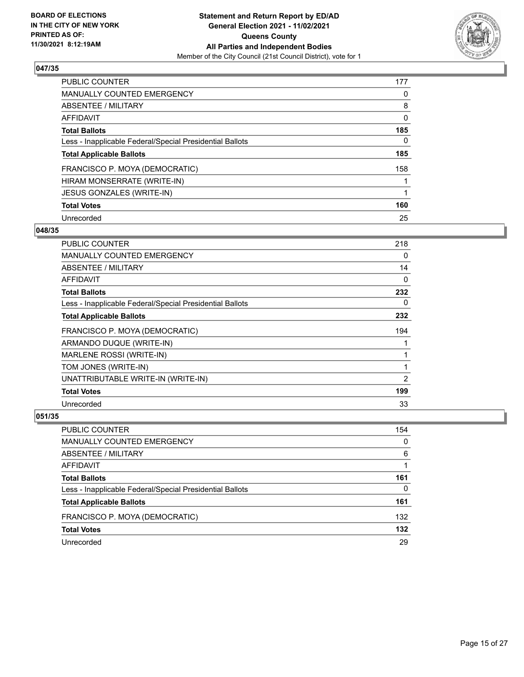

| <b>PUBLIC COUNTER</b>                                    | 177 |
|----------------------------------------------------------|-----|
| <b>MANUALLY COUNTED EMERGENCY</b>                        | 0   |
| ABSENTEE / MILITARY                                      | 8   |
| AFFIDAVIT                                                | 0   |
| <b>Total Ballots</b>                                     | 185 |
| Less - Inapplicable Federal/Special Presidential Ballots | 0   |
| <b>Total Applicable Ballots</b>                          | 185 |
| FRANCISCO P. MOYA (DEMOCRATIC)                           | 158 |
| HIRAM MONSERRATE (WRITE-IN)                              |     |
| JESUS GONZALES (WRITE-IN)                                |     |
| <b>Total Votes</b>                                       | 160 |
| Unrecorded                                               | 25  |

#### **048/35**

| <b>PUBLIC COUNTER</b>                                    | 218 |
|----------------------------------------------------------|-----|
| <b>MANUALLY COUNTED EMERGENCY</b>                        | 0   |
| ABSENTEE / MILITARY                                      | 14  |
| AFFIDAVIT                                                | 0   |
| <b>Total Ballots</b>                                     | 232 |
| Less - Inapplicable Federal/Special Presidential Ballots | 0   |
| <b>Total Applicable Ballots</b>                          | 232 |
| FRANCISCO P. MOYA (DEMOCRATIC)                           | 194 |
| ARMANDO DUQUE (WRITE-IN)                                 |     |
| MARLENE ROSSI (WRITE-IN)                                 | 1   |
| TOM JONES (WRITE-IN)                                     | 1   |
| UNATTRIBUTABLE WRITE-IN (WRITE-IN)                       | 2   |
| <b>Total Votes</b>                                       | 199 |
| Unrecorded                                               | 33  |

| PUBLIC COUNTER                                           | 154 |
|----------------------------------------------------------|-----|
| <b>MANUALLY COUNTED EMERGENCY</b>                        | 0   |
| ABSENTEE / MILITARY                                      | 6   |
| AFFIDAVIT                                                |     |
| <b>Total Ballots</b>                                     | 161 |
| Less - Inapplicable Federal/Special Presidential Ballots | 0   |
| <b>Total Applicable Ballots</b>                          | 161 |
| FRANCISCO P. MOYA (DEMOCRATIC)                           | 132 |
| <b>Total Votes</b>                                       | 132 |
| Unrecorded                                               | 29  |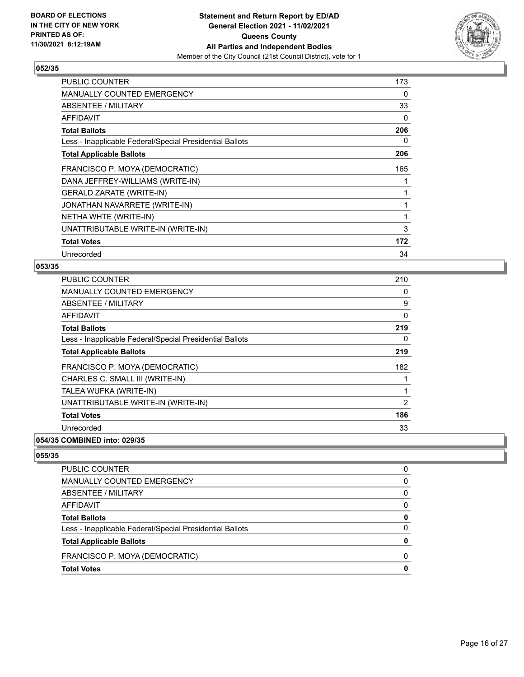

| <b>PUBLIC COUNTER</b>                                    | 173      |
|----------------------------------------------------------|----------|
| MANUALLY COUNTED EMERGENCY                               | 0        |
| ABSENTEE / MILITARY                                      | 33       |
| AFFIDAVIT                                                | $\Omega$ |
| <b>Total Ballots</b>                                     | 206      |
| Less - Inapplicable Federal/Special Presidential Ballots | 0        |
| <b>Total Applicable Ballots</b>                          | 206      |
| FRANCISCO P. MOYA (DEMOCRATIC)                           | 165      |
| DANA JEFFREY-WILLIAMS (WRITE-IN)                         |          |
| <b>GERALD ZARATE (WRITE-IN)</b>                          |          |
| JONATHAN NAVARRETE (WRITE-IN)                            |          |
| NETHA WHTE (WRITE-IN)                                    |          |
| UNATTRIBUTABLE WRITE-IN (WRITE-IN)                       | 3        |
| <b>Total Votes</b>                                       | 172      |
| Unrecorded                                               | 34       |

## **053/35**

| <b>PUBLIC COUNTER</b>                                    | 210            |
|----------------------------------------------------------|----------------|
| <b>MANUALLY COUNTED EMERGENCY</b>                        | 0              |
| ABSENTEE / MILITARY                                      | 9              |
| AFFIDAVIT                                                | 0              |
| <b>Total Ballots</b>                                     | 219            |
| Less - Inapplicable Federal/Special Presidential Ballots | 0              |
| <b>Total Applicable Ballots</b>                          | 219            |
| FRANCISCO P. MOYA (DEMOCRATIC)                           | 182            |
| CHARLES C. SMALL III (WRITE-IN)                          | 1              |
| TALEA WUFKA (WRITE-IN)                                   | 1              |
| UNATTRIBUTABLE WRITE-IN (WRITE-IN)                       | $\overline{2}$ |
| <b>Total Votes</b>                                       | 186            |
| Unrecorded                                               | 33             |
|                                                          |                |

#### **054/35 COMBINED into: 029/35**

| PUBLIC COUNTER                                           |              |
|----------------------------------------------------------|--------------|
| <b>MANUALLY COUNTED EMERGENCY</b>                        | 0            |
| ABSENTEE / MILITARY                                      | <sup>0</sup> |
| AFFIDAVIT                                                | <sup>0</sup> |
| <b>Total Ballots</b>                                     | 0            |
| Less - Inapplicable Federal/Special Presidential Ballots | 0            |
| <b>Total Applicable Ballots</b>                          |              |
| FRANCISCO P. MOYA (DEMOCRATIC)                           | <sup>0</sup> |
| <b>Total Votes</b>                                       |              |
|                                                          |              |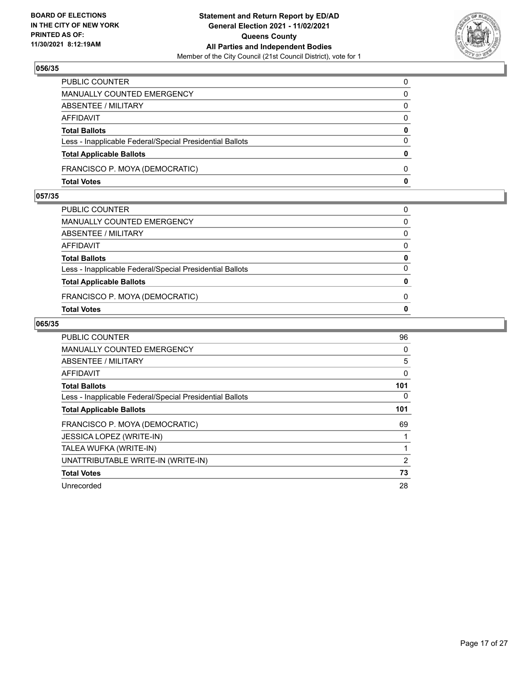

| PUBLIC COUNTER                                           | $\mathbf{0}$ |
|----------------------------------------------------------|--------------|
| MANUALLY COUNTED EMERGENCY                               | $\mathbf{0}$ |
| ABSENTEE / MILITARY                                      | $\mathbf{0}$ |
| AFFIDAVIT                                                | $\mathbf{0}$ |
| <b>Total Ballots</b>                                     | $\mathbf{0}$ |
| Less - Inapplicable Federal/Special Presidential Ballots | $\mathbf{0}$ |
| <b>Total Applicable Ballots</b>                          | $\mathbf{0}$ |
| FRANCISCO P. MOYA (DEMOCRATIC)                           | $\Omega$     |
| <b>Total Votes</b>                                       | $\mathbf{0}$ |

# **057/35**

| PUBLIC COUNTER                                           | 0            |
|----------------------------------------------------------|--------------|
| MANUALLY COUNTED EMERGENCY                               | $\Omega$     |
| ABSENTEE / MILITARY                                      | 0            |
| AFFIDAVIT                                                | $\Omega$     |
| <b>Total Ballots</b>                                     | $\mathbf{0}$ |
| Less - Inapplicable Federal/Special Presidential Ballots | $\Omega$     |
| <b>Total Applicable Ballots</b>                          | $\bf{0}$     |
| FRANCISCO P. MOYA (DEMOCRATIC)                           | 0            |
| <b>Total Votes</b>                                       | $\mathbf{0}$ |
|                                                          |              |

| PUBLIC COUNTER                                           | 96  |
|----------------------------------------------------------|-----|
| <b>MANUALLY COUNTED EMERGENCY</b>                        | 0   |
| ABSENTEE / MILITARY                                      | 5   |
| <b>AFFIDAVIT</b>                                         | 0   |
| <b>Total Ballots</b>                                     | 101 |
| Less - Inapplicable Federal/Special Presidential Ballots | 0   |
| <b>Total Applicable Ballots</b>                          | 101 |
| FRANCISCO P. MOYA (DEMOCRATIC)                           | 69  |
| <b>JESSICA LOPEZ (WRITE-IN)</b>                          |     |
| TALEA WUFKA (WRITE-IN)                                   |     |
| UNATTRIBUTABLE WRITE-IN (WRITE-IN)                       | 2   |
| <b>Total Votes</b>                                       | 73  |
| Unrecorded                                               | 28  |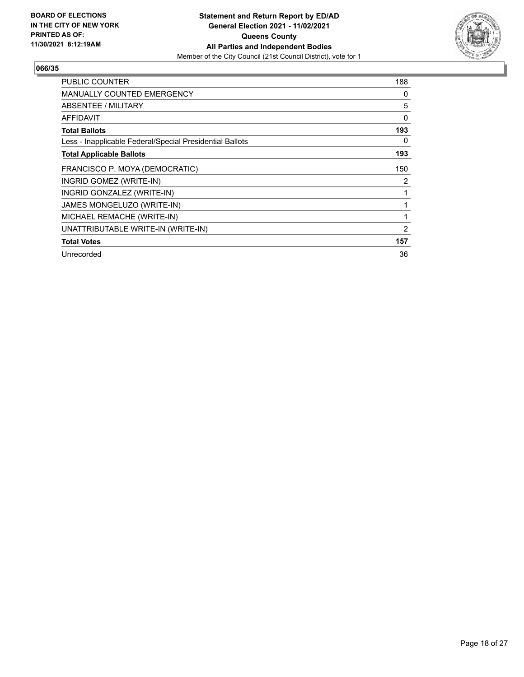

| <b>PUBLIC COUNTER</b>                                    | 188 |
|----------------------------------------------------------|-----|
| <b>MANUALLY COUNTED EMERGENCY</b>                        | 0   |
| ABSENTEE / MILITARY                                      | 5   |
| AFFIDAVIT                                                | 0   |
| <b>Total Ballots</b>                                     | 193 |
| Less - Inapplicable Federal/Special Presidential Ballots | 0   |
| <b>Total Applicable Ballots</b>                          | 193 |
| FRANCISCO P. MOYA (DEMOCRATIC)                           | 150 |
| INGRID GOMEZ (WRITE-IN)                                  | 2   |
| INGRID GONZALEZ (WRITE-IN)                               | 1   |
| JAMES MONGELUZO (WRITE-IN)                               |     |
| MICHAEL REMACHE (WRITE-IN)                               | 1   |
| UNATTRIBUTABLE WRITE-IN (WRITE-IN)                       | 2   |
| <b>Total Votes</b>                                       | 157 |
| Unrecorded                                               | 36  |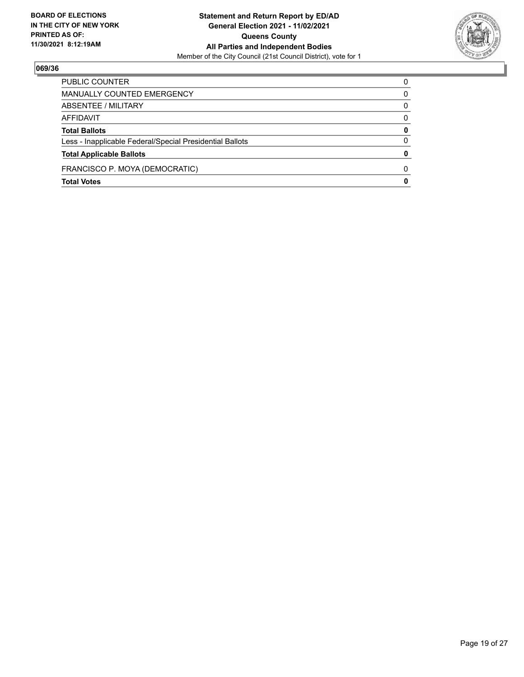

| <b>Total Votes</b>                                       | 0            |
|----------------------------------------------------------|--------------|
| FRANCISCO P. MOYA (DEMOCRATIC)                           | <sup>0</sup> |
| <b>Total Applicable Ballots</b>                          | $\mathbf{0}$ |
| Less - Inapplicable Federal/Special Presidential Ballots | 0            |
| <b>Total Ballots</b>                                     | 0            |
| AFFIDAVIT                                                | 0            |
| ABSENTEE / MILITARY                                      | 0            |
| MANUALLY COUNTED EMERGENCY                               | 0            |
| PUBLIC COUNTER                                           | 0            |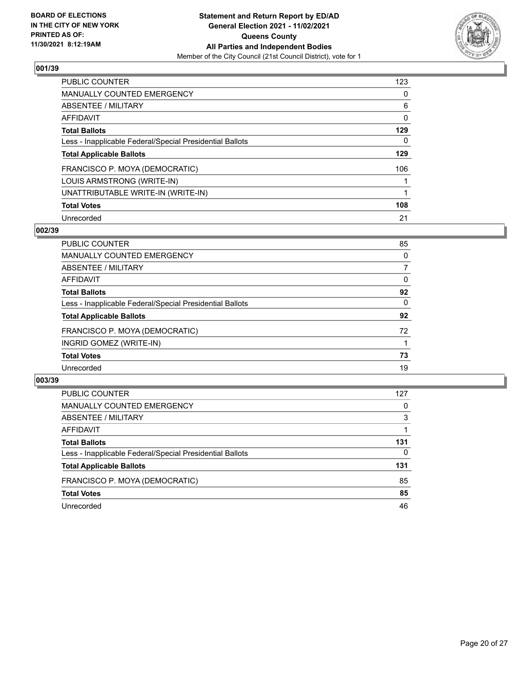

| <b>PUBLIC COUNTER</b>                                    | 123      |
|----------------------------------------------------------|----------|
| <b>MANUALLY COUNTED EMERGENCY</b>                        | $\Omega$ |
| <b>ABSENTEE / MILITARY</b>                               | 6        |
| <b>AFFIDAVIT</b>                                         | 0        |
| <b>Total Ballots</b>                                     | 129      |
| Less - Inapplicable Federal/Special Presidential Ballots | 0        |
| <b>Total Applicable Ballots</b>                          | 129      |
| FRANCISCO P. MOYA (DEMOCRATIC)                           | 106      |
| LOUIS ARMSTRONG (WRITE-IN)                               |          |
| UNATTRIBUTABLE WRITE-IN (WRITE-IN)                       |          |
| <b>Total Votes</b>                                       | 108      |
| Unrecorded                                               | 21       |

#### **002/39**

| <b>PUBLIC COUNTER</b>                                    | 85 |
|----------------------------------------------------------|----|
| <b>MANUALLY COUNTED EMERGENCY</b>                        | 0  |
| ABSENTEE / MILITARY                                      | 7  |
| AFFIDAVIT                                                | 0  |
| <b>Total Ballots</b>                                     | 92 |
| Less - Inapplicable Federal/Special Presidential Ballots | 0  |
| <b>Total Applicable Ballots</b>                          | 92 |
| FRANCISCO P. MOYA (DEMOCRATIC)                           | 72 |
| INGRID GOMEZ (WRITE-IN)                                  |    |
| <b>Total Votes</b>                                       | 73 |
| Unrecorded                                               | 19 |

| PUBLIC COUNTER                                           | 127      |
|----------------------------------------------------------|----------|
| MANUALLY COUNTED EMERGENCY                               | $\Omega$ |
| <b>ABSENTEE / MILITARY</b>                               | 3        |
| AFFIDAVIT                                                |          |
| <b>Total Ballots</b>                                     | 131      |
| Less - Inapplicable Federal/Special Presidential Ballots | 0        |
| <b>Total Applicable Ballots</b>                          | 131      |
| FRANCISCO P. MOYA (DEMOCRATIC)                           | 85       |
| <b>Total Votes</b>                                       | 85       |
| Unrecorded                                               | 46       |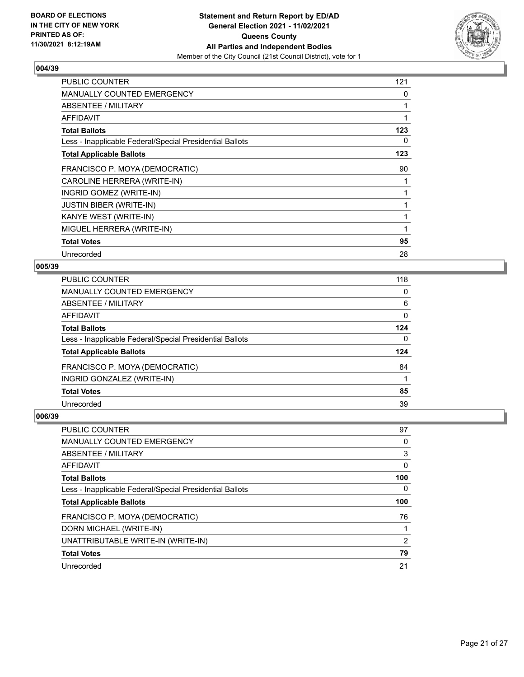

| PUBLIC COUNTER                                           | 121 |
|----------------------------------------------------------|-----|
| <b>MANUALLY COUNTED EMERGENCY</b>                        | 0   |
| ABSENTEE / MILITARY                                      |     |
| <b>AFFIDAVIT</b>                                         |     |
| <b>Total Ballots</b>                                     | 123 |
| Less - Inapplicable Federal/Special Presidential Ballots | 0   |
| <b>Total Applicable Ballots</b>                          | 123 |
| FRANCISCO P. MOYA (DEMOCRATIC)                           | 90  |
| CAROLINE HERRERA (WRITE-IN)                              |     |
| INGRID GOMEZ (WRITE-IN)                                  |     |
| <b>JUSTIN BIBER (WRITE-IN)</b>                           |     |
| KANYE WEST (WRITE-IN)                                    |     |
| MIGUEL HERRERA (WRITE-IN)                                | 1   |
| <b>Total Votes</b>                                       | 95  |
| Unrecorded                                               | 28  |

## **005/39**

| PUBLIC COUNTER                                           | 118          |
|----------------------------------------------------------|--------------|
| MANUALLY COUNTED EMERGENCY                               | 0            |
| ABSENTEE / MILITARY                                      | 6            |
| AFFIDAVIT                                                | $\mathbf 0$  |
| <b>Total Ballots</b>                                     | 124          |
| Less - Inapplicable Federal/Special Presidential Ballots | $\mathbf{0}$ |
| <b>Total Applicable Ballots</b>                          | 124          |
| FRANCISCO P. MOYA (DEMOCRATIC)                           | 84           |
| INGRID GONZALEZ (WRITE-IN)                               |              |
| <b>Total Votes</b>                                       | 85           |
| Unrecorded                                               | 39           |
|                                                          |              |

| PUBLIC COUNTER                                           | 97  |
|----------------------------------------------------------|-----|
| <b>MANUALLY COUNTED EMERGENCY</b>                        | 0   |
| ABSENTEE / MILITARY                                      | 3   |
| AFFIDAVIT                                                | 0   |
| <b>Total Ballots</b>                                     | 100 |
| Less - Inapplicable Federal/Special Presidential Ballots | 0   |
|                                                          |     |
| <b>Total Applicable Ballots</b>                          | 100 |
| FRANCISCO P. MOYA (DEMOCRATIC)                           | 76  |
| DORN MICHAEL (WRITE-IN)                                  |     |
| UNATTRIBUTABLE WRITE-IN (WRITE-IN)                       | 2   |
| <b>Total Votes</b>                                       | 79  |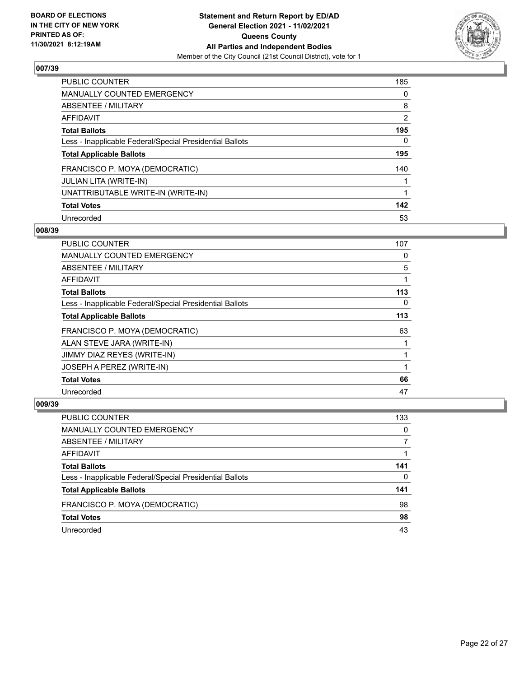

| <b>PUBLIC COUNTER</b>                                    | 185            |
|----------------------------------------------------------|----------------|
| <b>MANUALLY COUNTED EMERGENCY</b>                        | $\Omega$       |
| ABSENTEE / MILITARY                                      | 8              |
| AFFIDAVIT                                                | $\overline{2}$ |
| <b>Total Ballots</b>                                     | 195            |
| Less - Inapplicable Federal/Special Presidential Ballots | 0              |
| <b>Total Applicable Ballots</b>                          | 195            |
| FRANCISCO P. MOYA (DEMOCRATIC)                           | 140            |
| JULIAN LITA (WRITE-IN)                                   |                |
| UNATTRIBUTABLE WRITE-IN (WRITE-IN)                       |                |
| <b>Total Votes</b>                                       | 142            |
| Unrecorded                                               | 53             |

#### **008/39**

| PUBLIC COUNTER                                           | 107      |
|----------------------------------------------------------|----------|
| <b>MANUALLY COUNTED EMERGENCY</b>                        | 0        |
| ABSENTEE / MILITARY                                      | 5        |
| AFFIDAVIT                                                |          |
| <b>Total Ballots</b>                                     | 113      |
| Less - Inapplicable Federal/Special Presidential Ballots | $\Omega$ |
| <b>Total Applicable Ballots</b>                          | 113      |
| FRANCISCO P. MOYA (DEMOCRATIC)                           | 63       |
| ALAN STEVE JARA (WRITE-IN)                               |          |
| JIMMY DIAZ REYES (WRITE-IN)                              |          |
| JOSEPH A PEREZ (WRITE-IN)                                |          |
| <b>Total Votes</b>                                       | 66       |
| Unrecorded                                               | 47       |

| PUBLIC COUNTER                                           | 133 |
|----------------------------------------------------------|-----|
| <b>MANUALLY COUNTED EMERGENCY</b>                        | 0   |
| ABSENTEE / MILITARY                                      |     |
| AFFIDAVIT                                                |     |
| <b>Total Ballots</b>                                     | 141 |
| Less - Inapplicable Federal/Special Presidential Ballots | 0   |
| <b>Total Applicable Ballots</b>                          | 141 |
| FRANCISCO P. MOYA (DEMOCRATIC)                           | 98  |
| <b>Total Votes</b>                                       | 98  |
| Unrecorded                                               | 43  |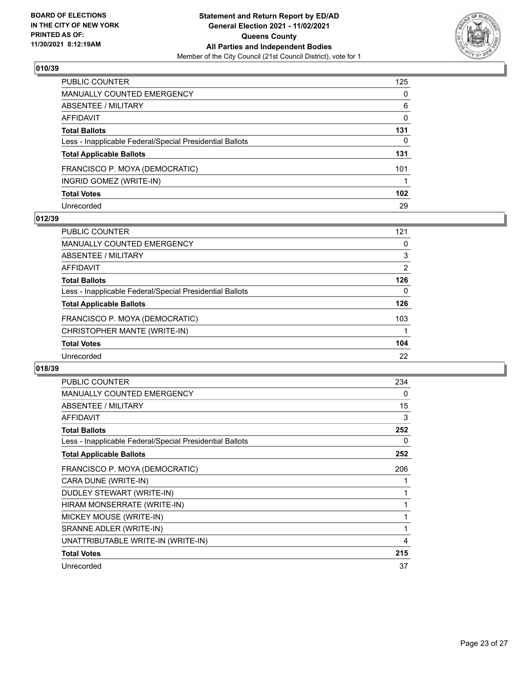

| PUBLIC COUNTER                                           | 125              |
|----------------------------------------------------------|------------------|
| MANUALLY COUNTED EMERGENCY                               | 0                |
| ABSENTEE / MILITARY                                      | 6                |
| AFFIDAVIT                                                | 0                |
| <b>Total Ballots</b>                                     | 131              |
| Less - Inapplicable Federal/Special Presidential Ballots | 0                |
| <b>Total Applicable Ballots</b>                          | 131              |
| FRANCISCO P. MOYA (DEMOCRATIC)                           | 101              |
| INGRID GOMEZ (WRITE-IN)                                  |                  |
| <b>Total Votes</b>                                       | 102 <sub>1</sub> |
| Unrecorded                                               | 29               |

#### **012/39**

| <b>PUBLIC COUNTER</b>                                    | 121            |
|----------------------------------------------------------|----------------|
| MANUALLY COUNTED EMERGENCY                               | 0              |
| ABSENTEE / MILITARY                                      | 3              |
| <b>AFFIDAVIT</b>                                         | $\overline{2}$ |
| <b>Total Ballots</b>                                     | 126            |
| Less - Inapplicable Federal/Special Presidential Ballots | 0              |
| <b>Total Applicable Ballots</b>                          | 126            |
| FRANCISCO P. MOYA (DEMOCRATIC)                           | 103            |
| CHRISTOPHER MANTE (WRITE-IN)                             |                |
| <b>Total Votes</b>                                       | 104            |
| Unrecorded                                               | 22             |

| PUBLIC COUNTER                                           | 234          |
|----------------------------------------------------------|--------------|
| MANUALLY COUNTED EMERGENCY                               | 0            |
| <b>ABSENTEE / MILITARY</b>                               | 15           |
| <b>AFFIDAVIT</b>                                         | 3            |
| <b>Total Ballots</b>                                     | 252          |
| Less - Inapplicable Federal/Special Presidential Ballots | 0            |
| <b>Total Applicable Ballots</b>                          | 252          |
| FRANCISCO P. MOYA (DEMOCRATIC)                           | 206          |
| CARA DUNE (WRITE-IN)                                     | 1            |
| DUDLEY STEWART (WRITE-IN)                                | 1            |
| HIRAM MONSERRATE (WRITE-IN)                              | 1            |
| MICKEY MOUSE (WRITE-IN)                                  | $\mathbf{1}$ |
| SRANNE ADLER (WRITE-IN)                                  | 1            |
| UNATTRIBUTABLE WRITE-IN (WRITE-IN)                       | 4            |
| <b>Total Votes</b>                                       | 215          |
| Unrecorded                                               | 37           |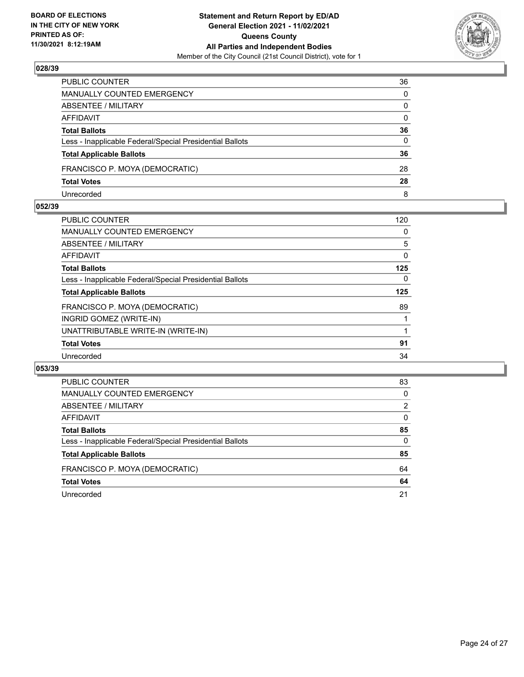

| PUBLIC COUNTER                                           | 36           |
|----------------------------------------------------------|--------------|
| <b>MANUALLY COUNTED EMERGENCY</b>                        | $\Omega$     |
| ABSENTEE / MILITARY                                      | $\mathbf{0}$ |
| AFFIDAVIT                                                | $\mathbf{0}$ |
| <b>Total Ballots</b>                                     | 36           |
| Less - Inapplicable Federal/Special Presidential Ballots | $\mathbf{0}$ |
| <b>Total Applicable Ballots</b>                          | 36           |
| FRANCISCO P. MOYA (DEMOCRATIC)                           | 28           |
| <b>Total Votes</b>                                       | 28           |
| Unrecorded                                               | 8            |

#### **052/39**

| PUBLIC COUNTER                                           | 120 |
|----------------------------------------------------------|-----|
| <b>MANUALLY COUNTED EMERGENCY</b>                        | 0   |
| ABSENTEE / MILITARY                                      | 5   |
| AFFIDAVIT                                                | 0   |
| <b>Total Ballots</b>                                     | 125 |
| Less - Inapplicable Federal/Special Presidential Ballots | 0   |
| <b>Total Applicable Ballots</b>                          | 125 |
| FRANCISCO P. MOYA (DEMOCRATIC)                           | 89  |
| INGRID GOMEZ (WRITE-IN)                                  |     |
| UNATTRIBUTABLE WRITE-IN (WRITE-IN)                       |     |
| <b>Total Votes</b>                                       | 91  |
| Unrecorded                                               | 34  |
|                                                          |     |

| PUBLIC COUNTER                                           | 83       |
|----------------------------------------------------------|----------|
| <b>MANUALLY COUNTED EMERGENCY</b>                        | $\Omega$ |
| ABSENTEE / MILITARY                                      | 2        |
| AFFIDAVIT                                                | $\Omega$ |
| <b>Total Ballots</b>                                     | 85       |
| Less - Inapplicable Federal/Special Presidential Ballots | $\Omega$ |
| <b>Total Applicable Ballots</b>                          | 85       |
| FRANCISCO P. MOYA (DEMOCRATIC)                           | 64       |
| <b>Total Votes</b>                                       | 64       |
| Unrecorded                                               | 21       |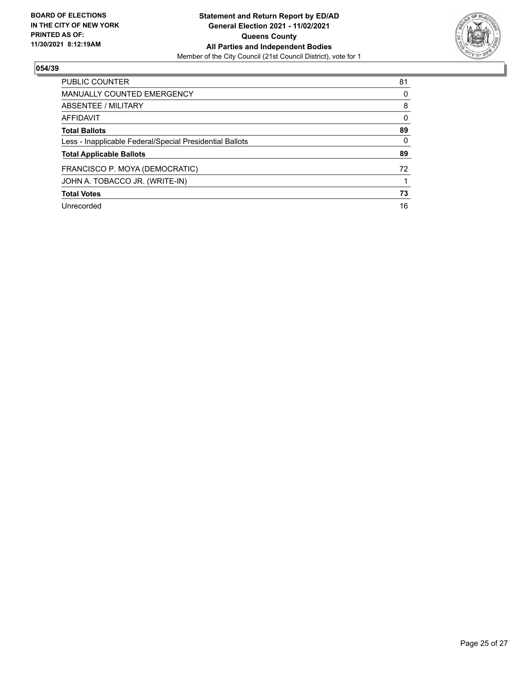

| <b>PUBLIC COUNTER</b>                                    | 81       |
|----------------------------------------------------------|----------|
| <b>MANUALLY COUNTED EMERGENCY</b>                        | 0        |
| ABSENTEE / MILITARY                                      | 8        |
| AFFIDAVIT                                                | $\Omega$ |
| <b>Total Ballots</b>                                     | 89       |
| Less - Inapplicable Federal/Special Presidential Ballots | $\Omega$ |
| <b>Total Applicable Ballots</b>                          | 89       |
| FRANCISCO P. MOYA (DEMOCRATIC)                           | 72       |
| JOHN A. TOBACCO JR. (WRITE-IN)                           |          |
| <b>Total Votes</b>                                       | 73       |
| Unrecorded                                               | 16       |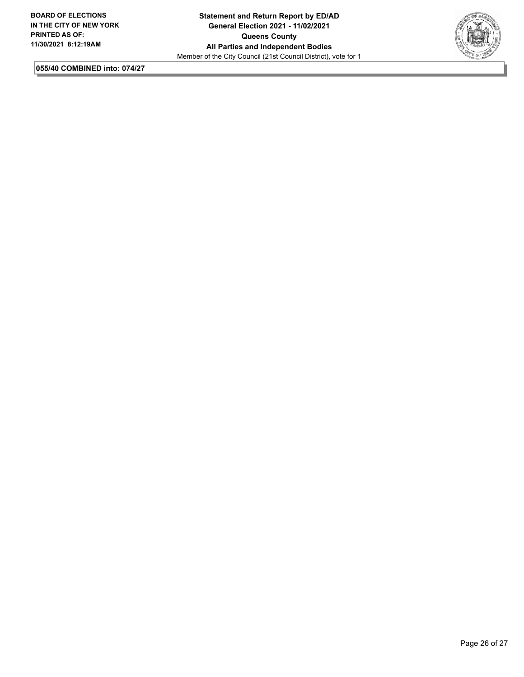

**055/40 COMBINED into: 074/27**